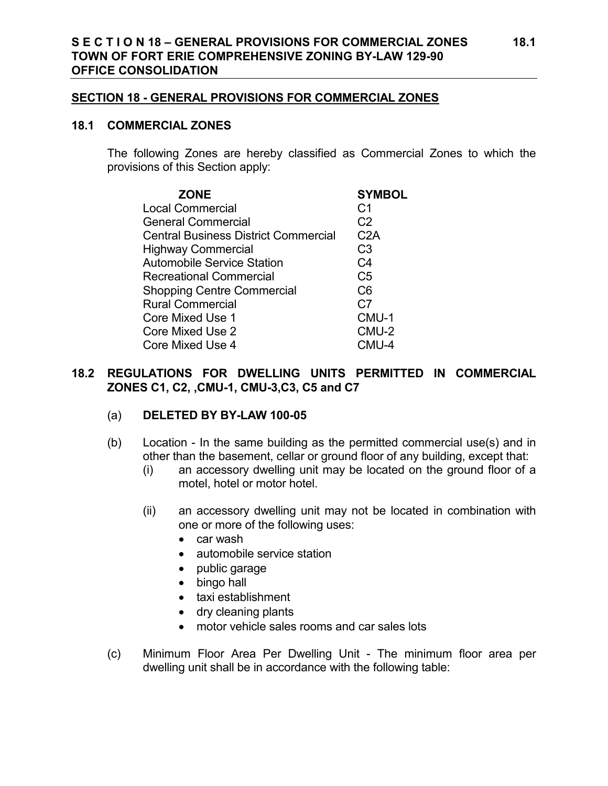#### **SECTION 18 - GENERAL PROVISIONS FOR COMMERCIAL ZONES**

#### **18.1 COMMERCIAL ZONES**

The following Zones are hereby classified as Commercial Zones to which the provisions of this Section apply:

| <b>ZONE</b>                                 | <b>SYMBOL</b>  |
|---------------------------------------------|----------------|
| <b>Local Commercial</b>                     | C <sub>1</sub> |
| <b>General Commercial</b>                   | C <sub>2</sub> |
| <b>Central Business District Commercial</b> | C2A            |
| <b>Highway Commercial</b>                   | C <sub>3</sub> |
| <b>Automobile Service Station</b>           | C <sub>4</sub> |
| <b>Recreational Commercial</b>              | C <sub>5</sub> |
| <b>Shopping Centre Commercial</b>           | C <sub>6</sub> |
| <b>Rural Commercial</b>                     | C <sub>7</sub> |
| Core Mixed Use 1                            | CMU-1          |
| <b>Core Mixed Use 2</b>                     | CMU-2          |
| Core Mixed Use 4                            | CMU-4          |

## **18.2 REGULATIONS FOR DWELLING UNITS PERMITTED IN COMMERCIAL ZONES C1, C2, ,CMU-1, CMU-3,C3, C5 and C7**

## (a) **DELETED BY BY-LAW 100-05**

- (b) Location In the same building as the permitted commercial use(s) and in other than the basement, cellar or ground floor of any building, except that:
	- (i) an accessory dwelling unit may be located on the ground floor of a motel, hotel or motor hotel.
	- (ii) an accessory dwelling unit may not be located in combination with one or more of the following uses:
		- car wash
		- automobile service station
		- public garage
		- bingo hall
		- taxi establishment
		- dry cleaning plants
		- motor vehicle sales rooms and car sales lots
- (c) Minimum Floor Area Per Dwelling Unit The minimum floor area per dwelling unit shall be in accordance with the following table: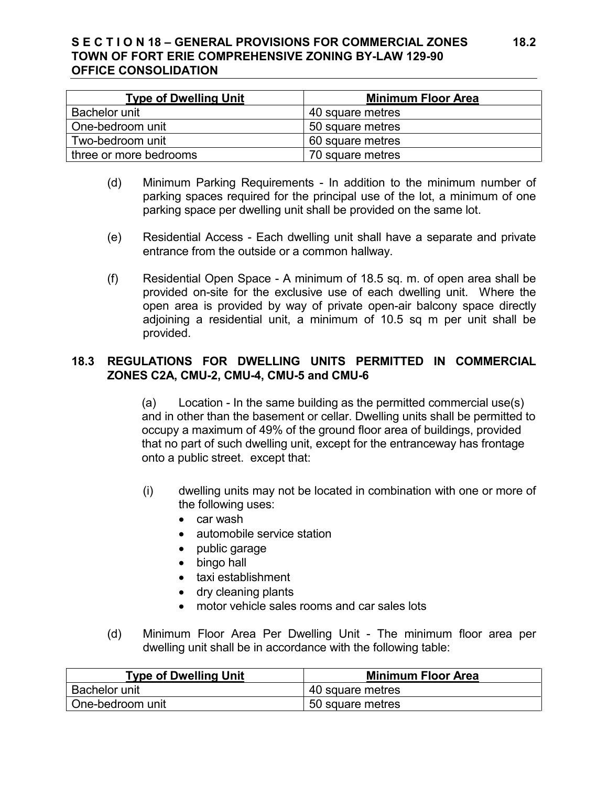# **S E C T I O N 18 – GENERAL PROVISIONS FOR COMMERCIAL ZONES 18.2 TOWN OF FORT ERIE COMPREHENSIVE ZONING BY-LAW 129-90 OFFICE CONSOLIDATION**

| <b>Type of Dwelling Unit</b> | <b>Minimum Floor Area</b> |
|------------------------------|---------------------------|
| Bachelor unit                | 40 square metres          |
| One-bedroom unit             | 50 square metres          |
| Two-bedroom unit             | 60 square metres          |
| three or more bedrooms       | 70 square metres          |

- (d) Minimum Parking Requirements In addition to the minimum number of parking spaces required for the principal use of the lot, a minimum of one parking space per dwelling unit shall be provided on the same lot.
- (e) Residential Access Each dwelling unit shall have a separate and private entrance from the outside or a common hallway.
- (f) Residential Open Space A minimum of 18.5 sq. m. of open area shall be provided on-site for the exclusive use of each dwelling unit. Where the open area is provided by way of private open-air balcony space directly adjoining a residential unit, a minimum of 10.5 sq m per unit shall be provided.

# **18.3 REGULATIONS FOR DWELLING UNITS PERMITTED IN COMMERCIAL ZONES C2A, CMU-2, CMU-4, CMU-5 and CMU-6**

(a) Location - In the same building as the permitted commercial use(s) and in other than the basement or cellar. Dwelling units shall be permitted to occupy a maximum of 49% of the ground floor area of buildings, provided that no part of such dwelling unit, except for the entranceway has frontage onto a public street. except that:

- (i) dwelling units may not be located in combination with one or more of the following uses:
	- car wash
	- automobile service station
	- public garage
	- bingo hall
	- taxi establishment
	- dry cleaning plants
	- motor vehicle sales rooms and car sales lots
- (d) Minimum Floor Area Per Dwelling Unit The minimum floor area per dwelling unit shall be in accordance with the following table:

| <b>Type of Dwelling Unit</b> | <b>Minimum Floor Area</b> |
|------------------------------|---------------------------|
| <b>Bachelor unit</b>         | 40 square metres          |
| One-bedroom unit             | 50 square metres          |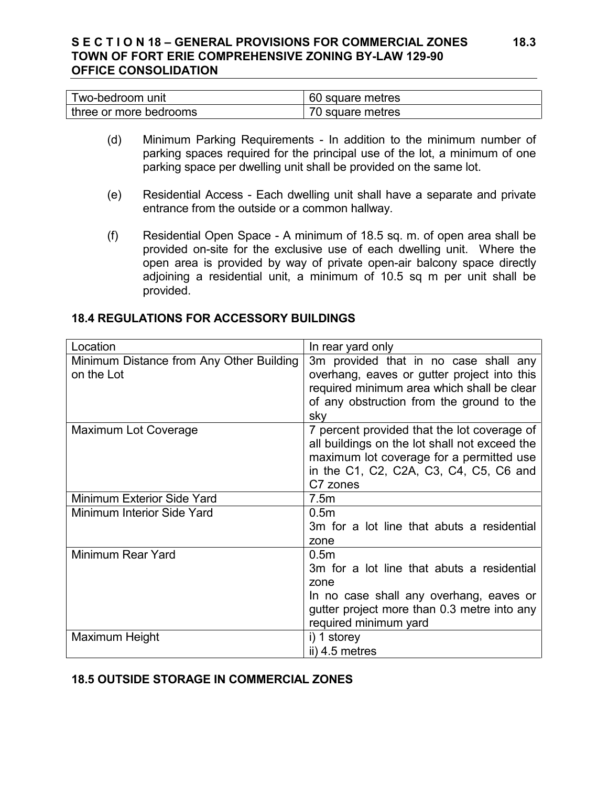## **S E C T I O N 18 – GENERAL PROVISIONS FOR COMMERCIAL ZONES 18.3 TOWN OF FORT ERIE COMPREHENSIVE ZONING BY-LAW 129-90 OFFICE CONSOLIDATION**

| Two-bedroom unit       | 60 square metres |
|------------------------|------------------|
| three or more bedrooms | 70 square metres |

- (d) Minimum Parking Requirements In addition to the minimum number of parking spaces required for the principal use of the lot, a minimum of one parking space per dwelling unit shall be provided on the same lot.
- (e) Residential Access Each dwelling unit shall have a separate and private entrance from the outside or a common hallway.
- (f) Residential Open Space A minimum of 18.5 sq. m. of open area shall be provided on-site for the exclusive use of each dwelling unit. Where the open area is provided by way of private open-air balcony space directly adjoining a residential unit, a minimum of 10.5 sq m per unit shall be provided.

### **18.4 REGULATIONS FOR ACCESSORY BUILDINGS**

| Location                                 | In rear yard only                             |
|------------------------------------------|-----------------------------------------------|
| Minimum Distance from Any Other Building | 3m provided that in no case shall any         |
| on the Lot                               | overhang, eaves or gutter project into this   |
|                                          | required minimum area which shall be clear    |
|                                          | of any obstruction from the ground to the     |
|                                          | sky                                           |
| Maximum Lot Coverage                     | 7 percent provided that the lot coverage of   |
|                                          | all buildings on the lot shall not exceed the |
|                                          | maximum lot coverage for a permitted use      |
|                                          | in the C1, C2, C2A, C3, C4, C5, C6 and        |
|                                          | C7 zones                                      |
| Minimum Exterior Side Yard               | 7.5m                                          |
| Minimum Interior Side Yard               | 0.5 <sub>m</sub>                              |
|                                          | 3m for a lot line that abuts a residential    |
|                                          | zone                                          |
| Minimum Rear Yard                        | 0.5 <sub>m</sub>                              |
|                                          | 3m for a lot line that abuts a residential    |
|                                          | zone                                          |
|                                          | In no case shall any overhang, eaves or       |
|                                          | gutter project more than 0.3 metre into any   |
|                                          | required minimum yard                         |
| Maximum Height                           | i) 1 storey                                   |
|                                          | ii) 4.5 metres                                |

## **18.5 OUTSIDE STORAGE IN COMMERCIAL ZONES**